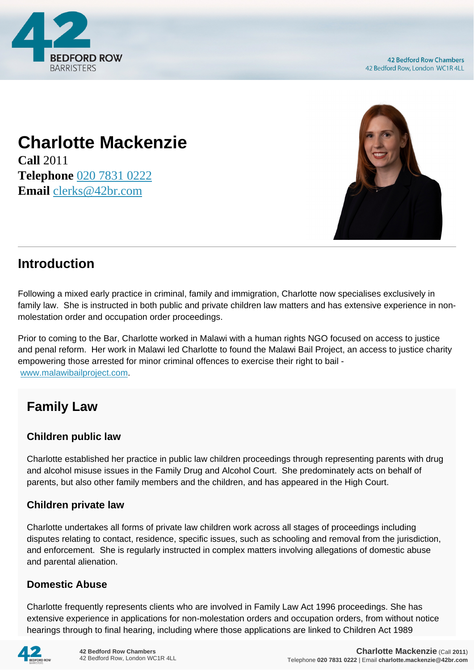

# **Charlotte Mackenzie**

**Call** 2011 **Telephone** [020 7831 0222](https://pdf.codeshore.co/_42br/tel:020 7831 0222) **Email** [clerks@42br.com](mailto:clerks@42br.com)



## **Introduction**

Following a mixed early practice in criminal, family and immigration, Charlotte now specialises exclusively in family law. She is instructed in both public and private children law matters and has extensive experience in nonmolestation order and occupation order proceedings.

Prior to coming to the Bar, Charlotte worked in Malawi with a human rights NGO focused on access to justice and penal reform. Her work in Malawi led Charlotte to found the Malawi Bail Project, an access to justice charity empowering those arrested for minor criminal offences to exercise their right to bail [www.malawibailproject.com.](http://www.malawibailproject.com)

## **Family Law**

### **Children public law**

Charlotte established her practice in public law children proceedings through representing parents with drug and alcohol misuse issues in the Family Drug and Alcohol Court. She predominately acts on behalf of parents, but also other family members and the children, and has appeared in the High Court.

### **Children private law**

Charlotte undertakes all forms of private law children work across all stages of proceedings including disputes relating to contact, residence, specific issues, such as schooling and removal from the jurisdiction, and enforcement. She is regularly instructed in complex matters involving allegations of domestic abuse and parental alienation.

#### **Domestic Abuse**

Charlotte frequently represents clients who are involved in Family Law Act 1996 proceedings. She has extensive experience in applications for non-molestation orders and occupation orders, from without notice hearings through to final hearing, including where those applications are linked to Children Act 1989